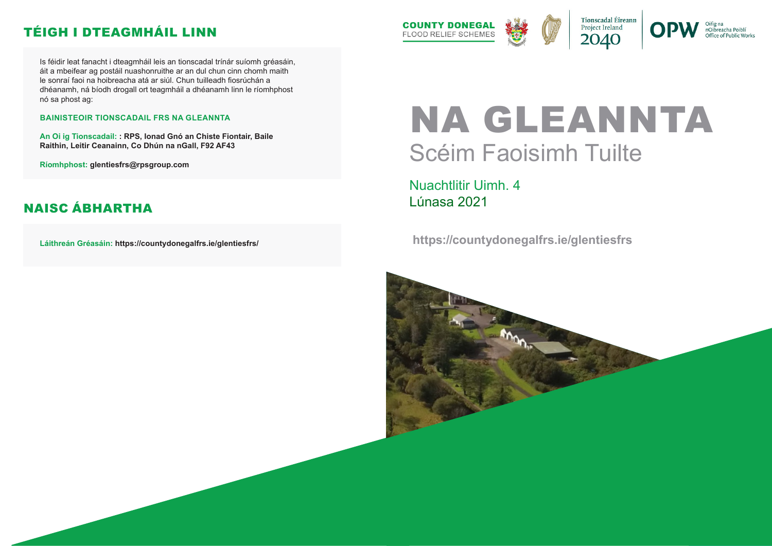# NA GLEANNTA Scéim Faoisimh Tuilte

Nuachtlitir Uimh. 4 Lúnasa 2021

 **https://countydonegalfrs.ie/glentiesfrs**





nOibreacha Poiblí Office of Public Works

Is féidir leat fanacht i dteagmháil leis an tionscadal trínár suíomh gréasáin, áit a mbeifear ag postáil nuashonruithe ar an dul chun cinn chomh maith le sonraí faoi na hoibreacha atá ar siúl. Chun tuilleadh fiosrúchán a dhéanamh, ná bíodh drogall ort teagmháil a dhéanamh linn le ríomhphost nó sa phost ag:

#### **BAINISTEOIR TIONSCADAIL FRS NA GLEANNTA**

**An Oi ig Tionscadail: : RPS, Ionad Gnó an Chiste Fiontair, Baile Raithin, Leitir Ceanainn, Co Dhún na nGall, F92 AF43**

**Ríomhphost: glentiesfrs@rpsgroup.com**

**Láithreán Gréasáin: https://countydonegalfrs.ie/glentiesfrs/**



#### TÉIGH I DTEAGMHÁIL LINN

#### NAISC ÁBHARTHA